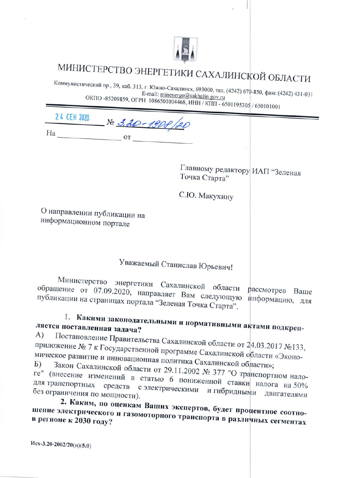

# МИНИСТЕРСТВО ЭНЕРГЕТИКИ САХАЛИНСКОЙ ОБЛАСТИ

Коммунистический пр., 39, каб. 313, г. Южно-Сахалинск, 693000, тел. (4242) 670-850, факс (4242) 431-031 E-mail: minenergo@sakhalin.gov.ru ОКПО -85209859, ОГРН 1086501004468, ИНН / КПП - 6501195305 / 650101001

24 CEH 2020 No 3.20-1900 

Главному редактору ИАП "Зеленая Точка Старта"

С.Ю. Макухину

О направлении публикации на информационном портале

## Уважаемый Станислав Юрьевич!

Министерство энергетики Сахалинской области рассмотрев Ваше обращение от 07.09.2020, направляет Вам следующую информацию, для публикации на страницах портала "Зеленая Точка Старта".

#### 1. Какими законодательными и нормативными актами подкрепляется поставленная задача? A)

Постановление Правительства Сахалинской области от 24.03.2017 №133, приложение № 7 к Государственной программе Сахалинской области «Экономическое развитие и инновационная политика Сахалинской области»;

Закон Сахалинской области от 29.11.2002 № 377 "О транспортном налоге" (внесение изменений в статью 6 пониженной ставки налога на 50% для транспортных средств с электрическими и гибридными двигателями без ограничения по мощности).

2. Каким, по оценкам Ваших экспертов, будет процентное соотношение электрического и газомоторного транспорта в различных сегментах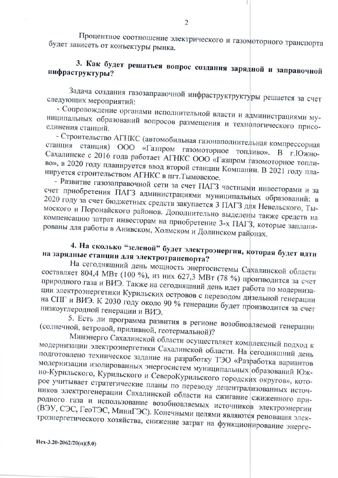Процентное соотношение электрического и газомоторного транспорта будет зависеть от конъектуры рынка.

#### 3. Как будет решаться вопрос создания зарядной и заправочной инфраструктуры?

Задача создания газозаправочной инфраструктруктуры решается за счет следующих мероприятий:

- Сопровождение органами исполнительной власти и администрациями муниципальных образований вопросов размещения и технологического присо-

- Строительство АГНКС (автомобильная газонаполнительная компрессорная станция станция) ООО «Газпром газомоторное топливо». В г.Южно-Сахалинске с 2016 года работает АГНКС ООО «Газпром газомоторное топливо», в 2020 году планируется ввод второй станции Компании. В 2021 году планируется строительством АГНКС в пгт. Тымовское.

- Развитие газозаправочной сети за счет ПАГЗ частными инвесторами и за счет приобретения ПАГЗ администрациями муниципальных образований: в 2020 году за счет бюджетных средств закупается 3 ПАГЗ для Невельского, Тымоского и Поронайского районов. Дополнительно выделены также средств на компенсацию затрат инвесторам на приобретение 3-х ПАГЗ, которые запланированы для работы в Анивском, Холмском и Долинском районах.

### 4. На сколько "зеленой" будет электроэнергия, которая будет идти на зарядные станции для электротранспорта?

На сегодняшний день мощность энергосистемы Сахалинской области составляет 804,4 МВт (100 %), из них 627,3 МВт (78 %) производится за счет природного газа и ВИЭ. Также на сегодняшний день идет работа по модернизации электроэнергетики Курильских островов с переводом дизельной генерации на СПГ и ВИЭ. К 2030 году около 90 % генерации будет производится за счет низкоуглеродной генерации и ВИЭ.

5. Есть ли программа развития в регионе возобновляемой генерации (солнечной, ветровой, приливной, геотермальной)?

Минэнерго Сахалинской области осуществляет комплексный подход к модернизации электроэнергетики Сахалинской области. На сегодняшний день подготовлено техническое задание на разработку ТЭО «Разработка вариантов модернизации изолированных энергосистем муниципальных образований Южно-Курильского, Курильского и СевероКурильского городских округов», которое учитывает стратегические планы по переводу децентрализованных источников электрогенерации Сахалинской области на сжигание сжиженного природного газа и использование возобновляемых источников электроэнергии (ВЭУ, СЭС, ГеоТЭС, МиниГЭС). Конечными целями являются реновация электроэнергетического хозяйства, снижение затрат на функционирование энерге-

 $Mex-3.20-2062/20(n)(5.0)$